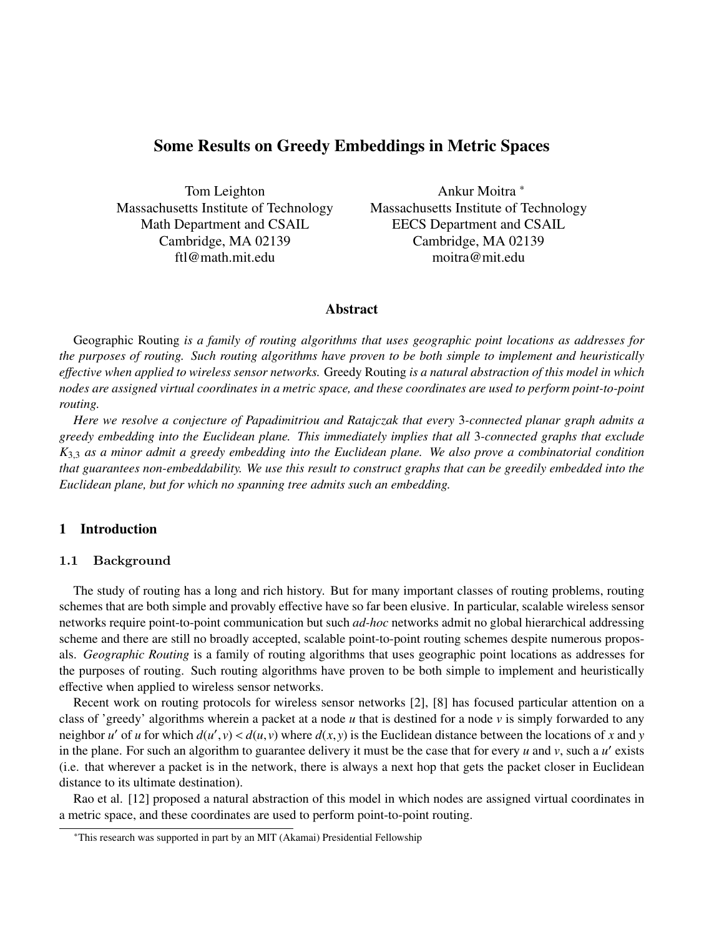# Some Results on Greedy Embeddings in Metric Spaces

Tom Leighton Massachusetts Institute of Technology Math Department and CSAIL Cambridge, MA 02139 ftl@math.mit.edu

Ankur Moitra <sup>∗</sup> Massachusetts Institute of Technology EECS Department and CSAIL Cambridge, MA 02139 moitra@mit.edu

#### **Abstract**

Geographic Routing *is a family of routing algorithms that uses geographic point locations as addresses for the purposes of routing. Such routing algorithms have proven to be both simple to implement and heuristically e*ff*ective when applied to wireless sensor networks.* Greedy Routing *is a natural abstraction of this model in which nodes are assigned virtual coordinates in a metric space, and these coordinates are used to perform point-to-point routing.*

*Here we resolve a conjecture of Papadimitriou and Ratajczak that every* 3*-connected planar graph admits a greedy embedding into the Euclidean plane. This immediately implies that all* 3*-connected graphs that exclude <sup>K</sup>*3,<sup>3</sup> *as a minor admit a greedy embedding into the Euclidean plane. We also prove a combinatorial condition that guarantees non-embeddability. We use this result to construct graphs that can be greedily embedded into the Euclidean plane, but for which no spanning tree admits such an embedding.*

# 1 Introduction

#### 1.1 Background

The study of routing has a long and rich history. But for many important classes of routing problems, routing schemes that are both simple and provably effective have so far been elusive. In particular, scalable wireless sensor networks require point-to-point communication but such *ad-hoc* networks admit no global hierarchical addressing scheme and there are still no broadly accepted, scalable point-to-point routing schemes despite numerous proposals. *Geographic Routing* is a family of routing algorithms that uses geographic point locations as addresses for the purposes of routing. Such routing algorithms have proven to be both simple to implement and heuristically effective when applied to wireless sensor networks.

Recent work on routing protocols for wireless sensor networks [2], [8] has focused particular attention on a class of 'greedy' algorithms wherein a packet at a node *u* that is destined for a node *v* is simply forwarded to any neighbor *u*<sup> $\prime$ </sup> of *u* for which  $d(u', v) < d(u, v)$  where  $d(x, y)$  is the Euclidean distance between the locations of *x* and *y*<br>in the plane. For such an algorithm to guarantee delivery it must be the case that for every in the plane. For such an algorithm to guarantee delivery it must be the case that for every  $u$  and  $v$ , such a  $u'$  exists (i.e. that wherever a packet is in the network, there is always a next hop that gets the packet closer in Euclidean distance to its ultimate destination).

Rao et al. [12] proposed a natural abstraction of this model in which nodes are assigned virtual coordinates in a metric space, and these coordinates are used to perform point-to-point routing.

<sup>∗</sup>This research was supported in part by an MIT (Akamai) Presidential Fellowship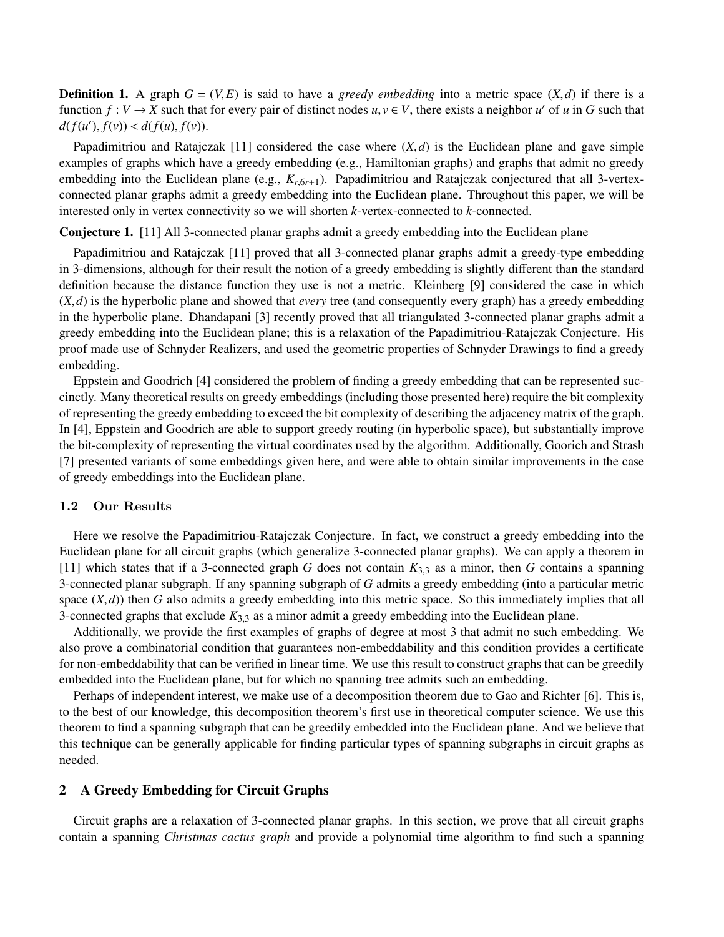**Definition 1.** A graph  $G = (V, E)$  is said to have a *greedy embedding* into a metric space  $(X, d)$  if there is a function  $f: V \to X$  such that for every pair of distinct nodes  $u, v \in V$ , there exists a neighbor *u'* of *u* in *G* such that  $d(f(u), f(v)) \leq d(f(u), f(v))$  $d(f(u'), f(v)) < d(f(u), f(v)).$ 

Papadimitriou and Ratajczak [11] considered the case where  $(X, d)$  is the Euclidean plane and gave simple examples of graphs which have a greedy embedding (e.g., Hamiltonian graphs) and graphs that admit no greedy embedding into the Euclidean plane (e.g.,  $K_{r,6r+1}$ ). Papadimitriou and Ratajczak conjectured that all 3-vertexconnected planar graphs admit a greedy embedding into the Euclidean plane. Throughout this paper, we will be interested only in vertex connectivity so we will shorten *k*-vertex-connected to *k*-connected.

Conjecture 1. [11] All 3-connected planar graphs admit a greedy embedding into the Euclidean plane

Papadimitriou and Ratajczak [11] proved that all 3-connected planar graphs admit a greedy-type embedding in 3-dimensions, although for their result the notion of a greedy embedding is slightly different than the standard definition because the distance function they use is not a metric. Kleinberg [9] considered the case in which  $(X,d)$  is the hyperbolic plane and showed that *every* tree (and consequently every graph) has a greedy embedding in the hyperbolic plane. Dhandapani [3] recently proved that all triangulated 3-connected planar graphs admit a greedy embedding into the Euclidean plane; this is a relaxation of the Papadimitriou-Ratajczak Conjecture. His proof made use of Schnyder Realizers, and used the geometric properties of Schnyder Drawings to find a greedy embedding.

Eppstein and Goodrich [4] considered the problem of finding a greedy embedding that can be represented succinctly. Many theoretical results on greedy embeddings (including those presented here) require the bit complexity of representing the greedy embedding to exceed the bit complexity of describing the adjacency matrix of the graph. In [4], Eppstein and Goodrich are able to support greedy routing (in hyperbolic space), but substantially improve the bit-complexity of representing the virtual coordinates used by the algorithm. Additionally, Goorich and Strash [7] presented variants of some embeddings given here, and were able to obtain similar improvements in the case of greedy embeddings into the Euclidean plane.

## 1.2 Our Results

Here we resolve the Papadimitriou-Ratajczak Conjecture. In fact, we construct a greedy embedding into the Euclidean plane for all circuit graphs (which generalize 3-connected planar graphs). We can apply a theorem in [11] which states that if a 3-connected graph *G* does not contain  $K_{3,3}$  as a minor, then *G* contains a spanning 3-connected planar subgraph. If any spanning subgraph of *G* admits a greedy embedding (into a particular metric space  $(X, d)$ ) then *G* also admits a greedy embedding into this metric space. So this immediately implies that all 3-connected graphs that exclude *<sup>K</sup>*3,<sup>3</sup> as a minor admit a greedy embedding into the Euclidean plane.

Additionally, we provide the first examples of graphs of degree at most 3 that admit no such embedding. We also prove a combinatorial condition that guarantees non-embeddability and this condition provides a certificate for non-embeddability that can be verified in linear time. We use this result to construct graphs that can be greedily embedded into the Euclidean plane, but for which no spanning tree admits such an embedding.

Perhaps of independent interest, we make use of a decomposition theorem due to Gao and Richter [6]. This is, to the best of our knowledge, this decomposition theorem's first use in theoretical computer science. We use this theorem to find a spanning subgraph that can be greedily embedded into the Euclidean plane. And we believe that this technique can be generally applicable for finding particular types of spanning subgraphs in circuit graphs as needed.

## 2 A Greedy Embedding for Circuit Graphs

Circuit graphs are a relaxation of 3-connected planar graphs. In this section, we prove that all circuit graphs contain a spanning *Christmas cactus graph* and provide a polynomial time algorithm to find such a spanning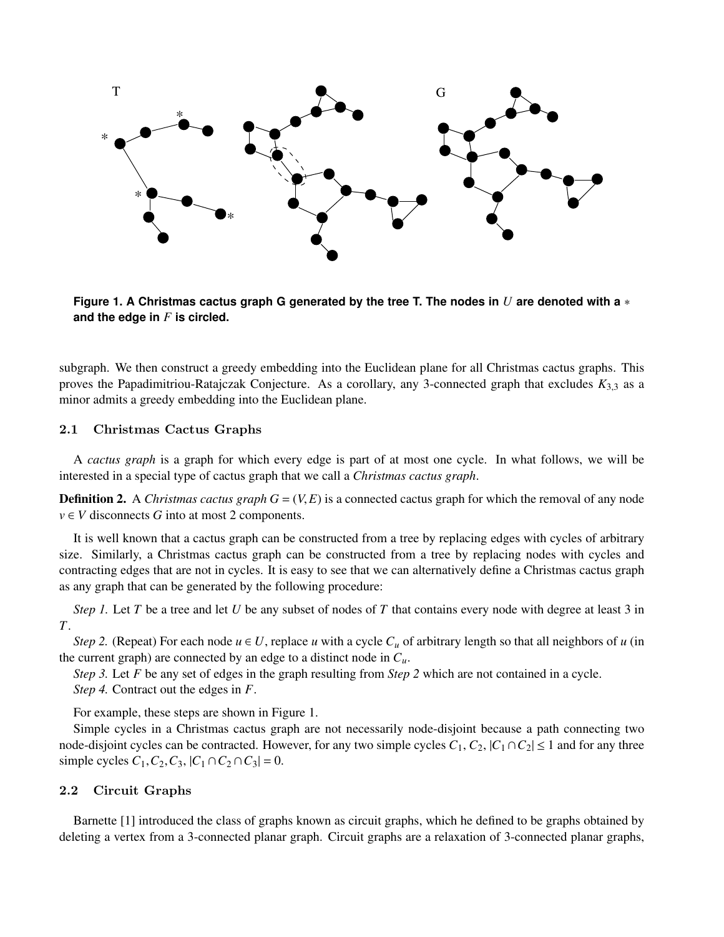

**Figure 1. A Christmas cactus graph G generated by the tree T. The nodes in** *U* **are denoted with a** ∗ **and the edge in** *F* **is circled.**

subgraph. We then construct a greedy embedding into the Euclidean plane for all Christmas cactus graphs. This proves the Papadimitriou-Ratajczak Conjecture. As a corollary, any 3-connected graph that excludes *<sup>K</sup>*3,<sup>3</sup> as a minor admits a greedy embedding into the Euclidean plane.

## 2.1 Christmas Cactus Graphs

A *cactus graph* is a graph for which every edge is part of at most one cycle. In what follows, we will be interested in a special type of cactus graph that we call a *Christmas cactus graph*.

**Definition 2.** A *Christmas cactus graph G* =  $(V, E)$  is a connected cactus graph for which the removal of any node  $v \in V$  disconnects *G* into at most 2 components.

It is well known that a cactus graph can be constructed from a tree by replacing edges with cycles of arbitrary size. Similarly, a Christmas cactus graph can be constructed from a tree by replacing nodes with cycles and contracting edges that are not in cycles. It is easy to see that we can alternatively define a Christmas cactus graph as any graph that can be generated by the following procedure:

*Step 1.* Let *T* be a tree and let *U* be any subset of nodes of *T* that contains every node with degree at least 3 in *T*.

*Step 2.* (Repeat) For each node  $u \in U$ , replace *u* with a cycle  $C_u$  of arbitrary length so that all neighbors of *u* (in the current graph) are connected by an edge to a distinct node in  $C_u$ .

*Step 3.* Let *F* be any set of edges in the graph resulting from *Step 2* which are not contained in a cycle. *Step 4.* Contract out the edges in *F*.

For example, these steps are shown in Figure 1.

Simple cycles in a Christmas cactus graph are not necessarily node-disjoint because a path connecting two node-disjoint cycles can be contracted. However, for any two simple cycles  $C_1$ ,  $C_2$ ,  $|C_1 \cap C_2| \le 1$  and for any three simple cycles  $C_1$ ,  $C_2$ ,  $C_3$ ,  $|C_1 \cap C_2 \cap C_3| = 0$ .

## 2.2 Circuit Graphs

Barnette [1] introduced the class of graphs known as circuit graphs, which he defined to be graphs obtained by deleting a vertex from a 3-connected planar graph. Circuit graphs are a relaxation of 3-connected planar graphs,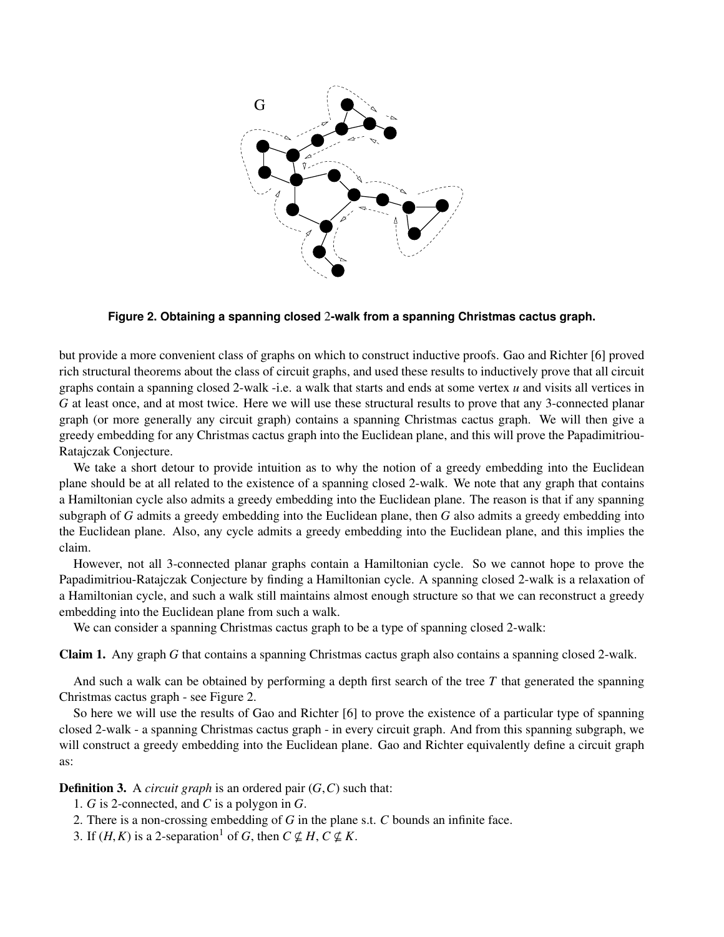

**Figure 2. Obtaining a spanning closed** 2**-walk from a spanning Christmas cactus graph.**

but provide a more convenient class of graphs on which to construct inductive proofs. Gao and Richter [6] proved rich structural theorems about the class of circuit graphs, and used these results to inductively prove that all circuit graphs contain a spanning closed 2-walk -i.e. a walk that starts and ends at some vertex *u* and visits all vertices in *G* at least once, and at most twice. Here we will use these structural results to prove that any 3-connected planar graph (or more generally any circuit graph) contains a spanning Christmas cactus graph. We will then give a greedy embedding for any Christmas cactus graph into the Euclidean plane, and this will prove the Papadimitriou-Ratajczak Conjecture.

We take a short detour to provide intuition as to why the notion of a greedy embedding into the Euclidean plane should be at all related to the existence of a spanning closed 2-walk. We note that any graph that contains a Hamiltonian cycle also admits a greedy embedding into the Euclidean plane. The reason is that if any spanning subgraph of *G* admits a greedy embedding into the Euclidean plane, then *G* also admits a greedy embedding into the Euclidean plane. Also, any cycle admits a greedy embedding into the Euclidean plane, and this implies the claim.

However, not all 3-connected planar graphs contain a Hamiltonian cycle. So we cannot hope to prove the Papadimitriou-Ratajczak Conjecture by finding a Hamiltonian cycle. A spanning closed 2-walk is a relaxation of a Hamiltonian cycle, and such a walk still maintains almost enough structure so that we can reconstruct a greedy embedding into the Euclidean plane from such a walk.

We can consider a spanning Christmas cactus graph to be a type of spanning closed 2-walk:

Claim 1. Any graph *G* that contains a spanning Christmas cactus graph also contains a spanning closed 2-walk.

And such a walk can be obtained by performing a depth first search of the tree *T* that generated the spanning Christmas cactus graph - see Figure 2.

So here we will use the results of Gao and Richter [6] to prove the existence of a particular type of spanning closed 2-walk - a spanning Christmas cactus graph - in every circuit graph. And from this spanning subgraph, we will construct a greedy embedding into the Euclidean plane. Gao and Richter equivalently define a circuit graph as:

**Definition 3.** A *circuit graph* is an ordered pair  $(G, C)$  such that:

- 1. *G* is 2-connected, and *C* is a polygon in *G*.
- 2. There is a non-crossing embedding of *G* in the plane s.t. *C* bounds an infinite face.
- 3. If  $(H, K)$  is a 2-separation<sup>1</sup> of *G*, then  $C \nsubseteq H$ ,  $C \nsubseteq K$ .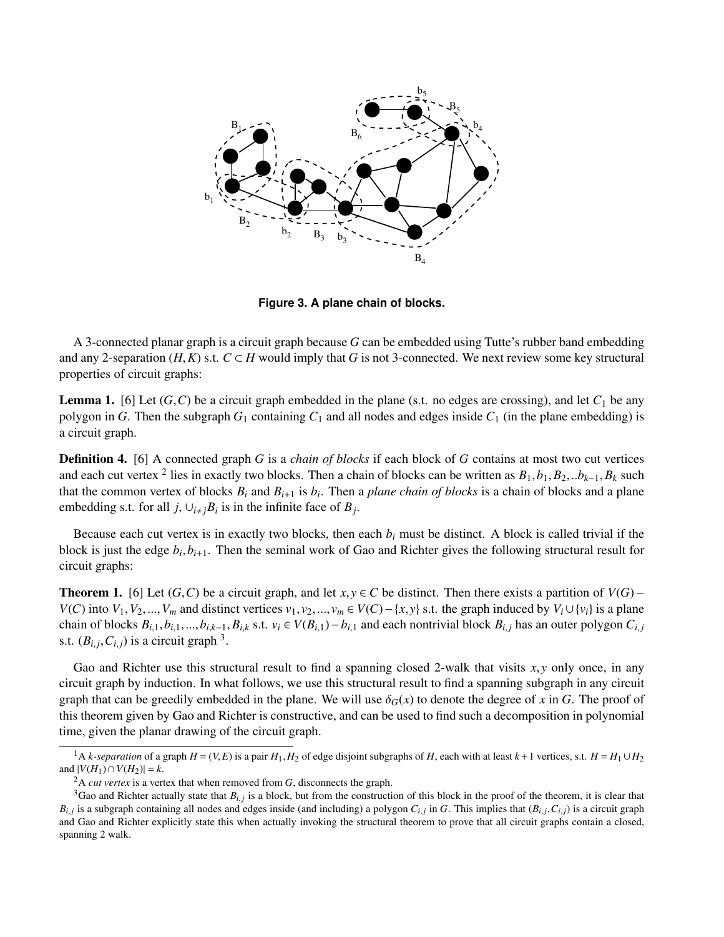

**Figure 3. A plane chain of blocks.**

A 3-connected planar graph is a circuit graph because *G* can be embedded using Tutte's rubber band embedding and any 2-separation  $(H, K)$  s.t.  $C \subset H$  would imply that *G* is not 3-connected. We next review some key structural properties of circuit graphs:

**Lemma 1.** [6] Let  $(G, C)$  be a circuit graph embedded in the plane (s.t. no edges are crossing), and let  $C_1$  be any polygon in *G*. Then the subgraph  $G_1$  containing  $C_1$  and all nodes and edges inside  $C_1$  (in the plane embedding) is a circuit graph.

Definition 4. [6] A connected graph *G* is a *chain of blocks* if each block of *G* contains at most two cut vertices and each cut vertex <sup>2</sup> lies in exactly two blocks. Then a chain of blocks can be written as  $B_1$ ,  $b_1$ ,  $B_2$ ,  $\ldots$  $b_{k-1}$ ,  $B_k$  such that the common vertex of blocks *B*, and *B*,  $\ldots$  is *b*. Then a plane chain of that the common vertex of blocks  $B_i$  and  $B_{i+1}$  is  $b_i$ . Then a *plane chain of blocks* is a chain of blocks and a plane embedding s.t. for all *j*,  $\bigcup_{i \neq j} B_i$  is in the infinite face of  $B_j$ .

Because each cut vertex is in exactly two blocks, then each  $b_i$  must be distinct. A block is called trivial if the block is just the edge  $b_i, b_{i+1}$ . Then the seminal work of Gao and Richter gives the following structural result for circuit graphs: circuit graphs:

**Theorem 1.** [6] Let (*G*,*C*) be a circuit graph, and let *x*, *y* ∈ *C* be distinct. Then there exists a partition of  $V(G)$ −  $V(C)$  into  $V_1, V_2, ..., V_m$  and distinct vertices  $v_1, v_2, ..., v_m \in V(C) - \{x, y\}$  s.t. the graph induced by  $V_i \cup \{v_i\}$  is a plane chain of blocks  $B_{i,1}, b_{i,1},..., b_{i,k-1}, B_{i,k}$  s.t.  $v_i \in V(B_{i,1}) - b_{i,1}$  and each nontrivial block  $B_{i,j}$  has an outer polygon  $C_{i,j}$ s.t.  $(B_{i,j}, C_{i,j})$  is a circuit graph <sup>3</sup>.

Gao and Richter use this structural result to find a spanning closed 2-walk that visits *<sup>x</sup>*, *<sup>y</sup>* only once, in any circuit graph by induction. In what follows, we use this structural result to find a spanning subgraph in any circuit graph that can be greedily embedded in the plane. We will use  $\delta_G(x)$  to denote the degree of *x* in *G*. The proof of this theorem given by Gao and Richter is constructive, and can be used to find such a decomposition in polynomial time, given the planar drawing of the circuit graph.

 $^{1}$ A *k-separation* of a graph *H* = (*V*,*E*) is a pair *H*<sub>1</sub>, *H*<sub>2</sub> of edge disjoint subgraphs of *H*, each with at least *k* + 1 vertices, s.t. *H* = *H*<sub>1</sub> ∪ *H*<sub>2</sub> and  $|V(H_1) \cap V(H_2)| = k$ .

 $^{2}$ A *cut vertex* is a vertex that when removed from *G*, disconnects the graph.

<sup>&</sup>lt;sup>3</sup>Gao and Richter actually state that  $B_{i,j}$  is a block, but from the construction of this block in the proof of the theorem, it is clear that is a subgraph containing all nodes and odges inside (end including) a polygo  $B_{i,j}$  is a subgraph containing all nodes and edges inside (and including) a polygon  $C_{i,j}$  in G. This implies that  $(B_{i,j}, C_{i,j})$  is a circuit graph<br>and Gao and Bichter explicitly state this when actually invoking the st and Gao and Richter explicitly state this when actually invoking the structural theorem to prove that all circuit graphs contain a closed, spanning 2 walk.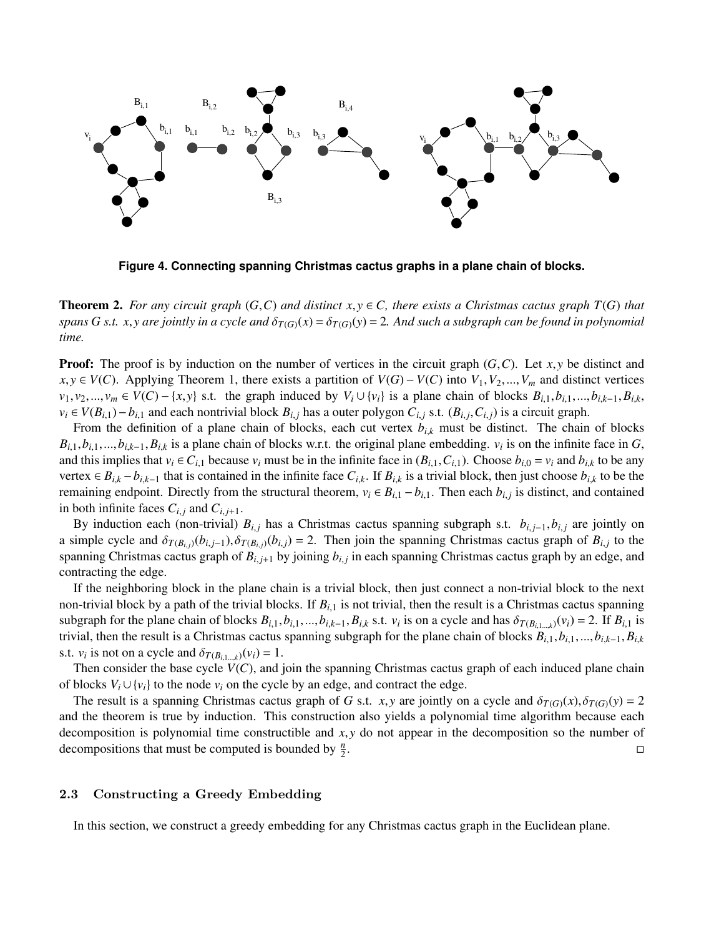

**Figure 4. Connecting spanning Christmas cactus graphs in a plane chain of blocks.**

**Theorem 2.** For any circuit graph  $(G, C)$  and distinct  $x, y \in C$ , there exists a Christmas cactus graph  $T(G)$  that *spans G s.t. x, y are jointly in a cycle and*  $\delta_{T(G)}(x) = \delta_{T(G)}(y) = 2$ *. And such a subgraph can be found in polynomial time.*

**Proof:** The proof is by induction on the number of vertices in the circuit graph  $(G, C)$ . Let  $x, y$  be distinct and *x*, *y* ∈ *V*(*C*). Applying Theorem 1, there exists a partition of *V*(*G*) − *V*(*C*) into *V*<sub>1</sub>, *V*<sub>2</sub>,..., *V*<sub>*m*</sub> and distinct vertices  $v_1, v_2, ..., v_m \in V(C) - \{x, y\}$  s.t. the graph induced by  $V_i \cup \{v_i\}$  is a plane chain of blocks  $B_{i,1}, b_{i,1}, ..., b_{i,k-1}, B_{i,k}$  $v_i \in V(B_{i,1}) - b_{i,1}$  and each nontrivial block  $B_{i,j}$  has a outer polygon  $C_{i,j}$  s.t.  $(B_{i,j}, C_{i,j})$  is a circuit graph.<br>From the definition of a plane chain of blocks, each cut vertex  $b_{i,j}$  must be distinct. The chain

From the definition of a plane chain of blocks, each cut vertex  $b_{i,k}$  must be distinct. The chain of blocks  $B_{i,1}, b_{i,1}, \ldots, b_{i,k-1}, B_{i,k}$  is a plane chain of blocks w.r.t. the original plane embedding. *v<sub>i</sub>* is on the infinite face in *G*, and this implies that  $y_i \in G$ , because  $y_i$  must be in the infinite face in  $(B_i, C_i)$ . C and this implies that  $v_i \in C_{i,1}$  because  $v_i$  must be in the infinite face in  $(B_{i,1}, C_{i,1})$ . Choose  $b_{i,0} = v_i$  and  $b_{i,k}$  to be any vertex  $\in B_{i,k} - b_{i,k-1}$  that is contained in the infinite face  $C_{i,k}$ . If  $B_{i,k}$  is a trivial block, then just choose  $b_{i,k}$  to be the remaining endpoint. Directly from the structural theorem,  $v_i \in B_{i,1} - b_{i,1}$ . Then each  $b_{i,j}$  is distinct, and contained in both infinite faces  $C_{i,j}$  and  $C_{i,j+1}$ .

By induction each (non-trivial)  $B_{i,j}$  has a Christmas cactus spanning subgraph s.t.  $b_{i,j-1}, b_{i,j}$  are jointly on a simple cycle and  $\delta_{T(B_{i,j})}(b_{i,j-1}), \delta_{T(B_{i,j})}(b_{i,j}) = 2$ . Then join the spanning Christmas cactus graph of  $B_{i,j}$  to the spanning Christmas cactus graph of  $B_{i,j+1}$  by joining  $b_{i,j}$  in each spanning Christmas cactus graph by an edge, and contracting the adge. contracting the edge.

If the neighboring block in the plane chain is a trivial block, then just connect a non-trivial block to the next non-trivial block by a path of the trivial blocks. If  $B_{i,1}$  is not trivial, then the result is a Christmas cactus spanning subgraph for the plane chain of blocks  $B_{i,1}, b_{i,1},..., b_{i,k-1}, B_{i,k}$  s.t.  $v_i$  is on a cycle and has  $\delta_{T(B_{i,1}...k)}(v_i) = 2$ . If  $B_{i,1}$  is<br>trivial, then the result is a Christmas cactus spanning subgraph for the plane chai trivial, then the result is a Christmas cactus spanning subgraph for the plane chain of blocks  $B_{i,1}, b_{i,1},...,b_{i,k-1}, B_{i,k}$ s.t.  $v_i$  is not on a cycle and  $\delta_{T(B_{i,1...k})}(v_i) = 1$ .<br>Then consider the base cycle  $V(C)$  and

Then consider the base cycle  $V(C)$ , and join the spanning Christmas cactus graph of each induced plane chain of blocks  $V_i \cup \{v_i\}$  to the node  $v_i$  on the cycle by an edge, and contract the edge.

The result is a spanning Christmas cactus graph of *G* s.t. *x*, *y* are jointly on a cycle and  $\delta_{T(G)}(x), \delta_{T(G)}(y) = 2$ and the theorem is true by induction. This construction also yields a polynomial time algorithm because each decomposition is polynomial time constructible and *x*, *y* do not appear in the decomposition so the number of decompositions that must be computed is bounded by  $\frac{n}{2}$ . decompositions that must be computed is bounded by  $\frac{n}{2}$ .

## 2.3 Constructing a Greedy Embedding

In this section, we construct a greedy embedding for any Christmas cactus graph in the Euclidean plane.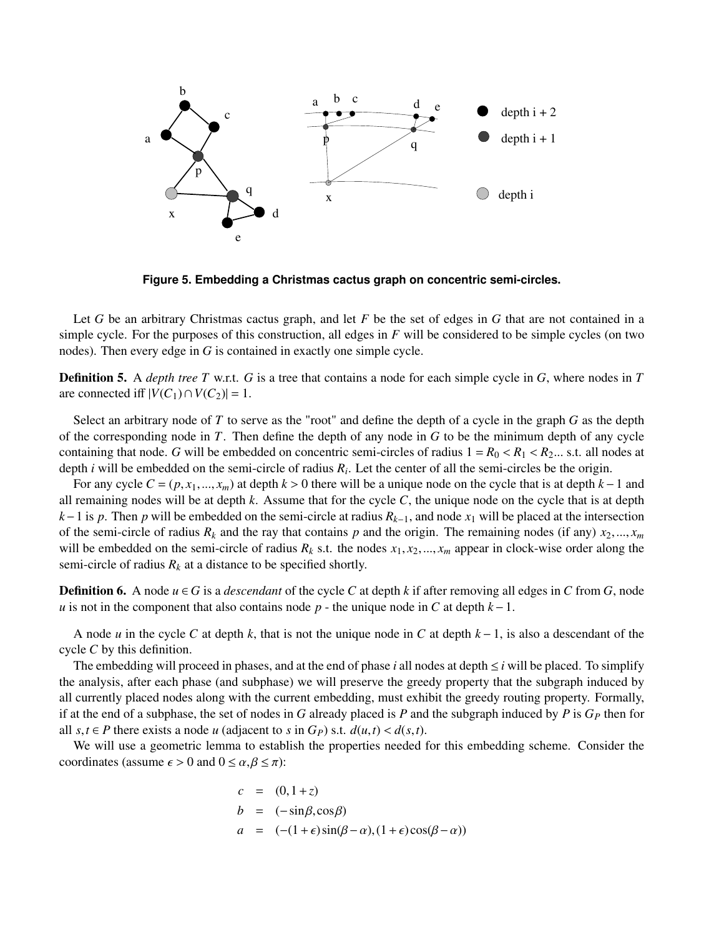

**Figure 5. Embedding a Christmas cactus graph on concentric semi-circles.**

Let *G* be an arbitrary Christmas cactus graph, and let *F* be the set of edges in *G* that are not contained in a simple cycle. For the purposes of this construction, all edges in *F* will be considered to be simple cycles (on two nodes). Then every edge in *G* is contained in exactly one simple cycle.

Definition 5. A *depth tree T* w.r.t. *G* is a tree that contains a node for each simple cycle in *G*, where nodes in *T* are connected iff  $|V(C_1) \cap V(C_2)| = 1$ .

Select an arbitrary node of *T* to serve as the "root" and define the depth of a cycle in the graph *G* as the depth of the corresponding node in *T*. Then define the depth of any node in *G* to be the minimum depth of any cycle containing that node. *G* will be embedded on concentric semi-circles of radius  $1 = R_0 < R_1 < R_2...$  s.t. all nodes at depth *i* will be embedded on the semi-circle of radius *R<sup>i</sup>* . Let the center of all the semi-circles be the origin.

For any cycle *<sup>C</sup>* <sup>=</sup> (*p*, *<sup>x</sup>*1,..., *<sup>x</sup>m*) at depth *<sup>k</sup>* > 0 there will be a unique node on the cycle that is at depth *<sup>k</sup>*−1 and all remaining nodes will be at depth *k*. Assume that for the cycle *C*, the unique node on the cycle that is at depth *k*−1 is *p*. Then *p* will be embedded on the semi-circle at radius  $R_{k-1}$ , and node  $x_1$  will be placed at the intersection of the semi-circle of radius  $R_k$  and the ray that contains  $p$  and the origin. The remaining nodes (if any)  $x_2, ..., x_m$ will be embedded on the semi-circle of radius  $R_k$  s.t. the nodes  $x_1, x_2, ..., x_m$  appear in clock-wise order along the semi-circle of radius  $R_k$  at a distance to be specified shortly.

**Definition 6.** A node  $u \in G$  is a *descendant* of the cycle *C* at depth *k* if after removing all edges in *C* from *G*, node *u* is not in the component that also contains node *p* - the unique node in *C* at depth *k* − 1.

A node *u* in the cycle *C* at depth *k*, that is not the unique node in *C* at depth *k* −1, is also a descendant of the cycle *C* by this definition.

The embedding will proceed in phases, and at the end of phase *i* all nodes at depth  $\leq i$  will be placed. To simplify the analysis, after each phase (and subphase) we will preserve the greedy property that the subgraph induced by all currently placed nodes along with the current embedding, must exhibit the greedy routing property. Formally, if at the end of a subphase, the set of nodes in *G* already placed is *P* and the subgraph induced by *P* is  $G_P$  then for all *s*,*t* ∈ *P* there exists a node *u* (adjacent to *s* in *G<sub>P</sub>*) *s.t. d*(*u*,*t*) < *d*(*s*,*t*).

We will use a geometric lemma to establish the properties needed for this embedding scheme. Consider the coordinates (assume  $\epsilon > 0$  and  $0 \le \alpha, \beta \le \pi$ ):

$$
c = (0, 1+z)
$$
  
\n
$$
b = (-\sin\beta, \cos\beta)
$$
  
\n
$$
a = (- (1+\epsilon)\sin(\beta-\alpha), (1+\epsilon)\cos(\beta-\alpha))
$$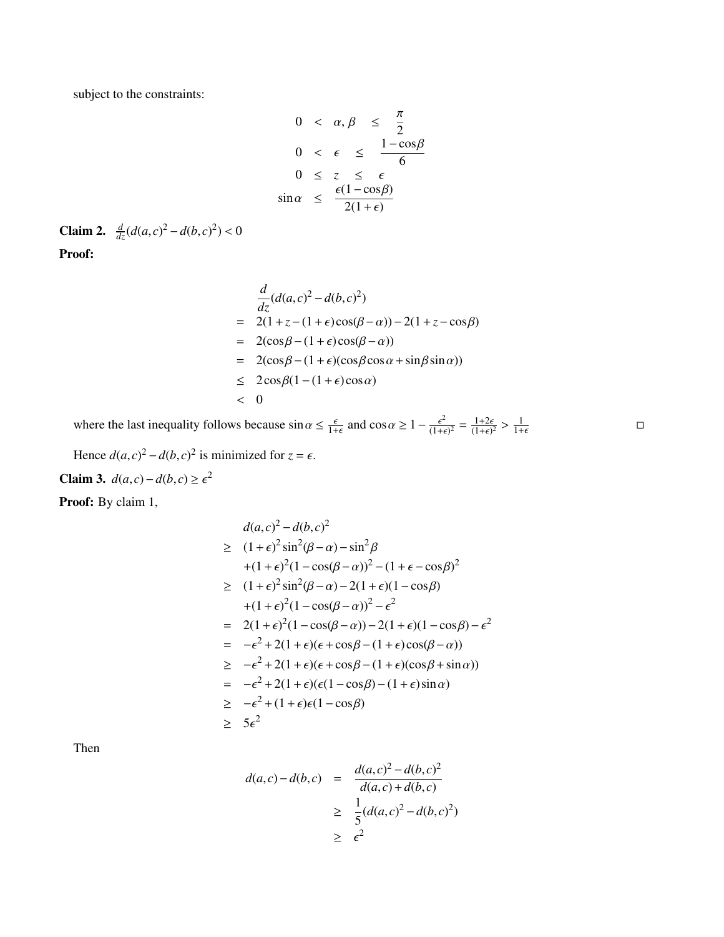subject to the constraints:

$$
0 < \alpha, \beta \leq \frac{\pi}{2}
$$
\n
$$
0 < \epsilon \leq \frac{1 - \cos \beta}{6}
$$
\n
$$
0 \leq z \leq \epsilon
$$
\n
$$
\sin \alpha \leq \frac{\epsilon (1 - \cos \beta)}{2(1 + \epsilon)}
$$

**Claim 2.**  $\frac{d}{dz}(d(a,c)^2 - d(b,c)^2) < 0$ Proof:

$$
\frac{d}{dz}(d(a,c)^2 - d(b,c)^2)
$$
\n
$$
= 2(1 + z - (1 + \epsilon)\cos(\beta - \alpha)) - 2(1 + z - \cos\beta)
$$
\n
$$
= 2(\cos\beta - (1 + \epsilon)\cos(\beta - \alpha))
$$
\n
$$
= 2(\cos\beta - (1 + \epsilon)(\cos\beta\cos\alpha + \sin\beta\sin\alpha))
$$
\n
$$
\leq 2\cos\beta(1 - (1 + \epsilon)\cos\alpha)
$$
\n
$$
< 0
$$

 $\Box$ 

where the last inequality follows because  $\sin \alpha \leq \frac{\epsilon}{1+\epsilon}$  and  $\cos \alpha \geq 1 - \frac{\epsilon^2}{(1+\epsilon)}$  $\frac{\epsilon^2}{(1+\epsilon)^2} = \frac{1+2\epsilon}{(1+\epsilon)^2}$  $\frac{1+2\epsilon}{(1+\epsilon)^2} > \frac{1}{1+\epsilon}$  $1+\epsilon$ 

Hence  $d(a, c)^2 - d(b, c)^2$  is minimized for  $z = \epsilon$ . Claim 3. *d*(*a*,*c*)−*d*(*b*,*c*) ≥  $\epsilon^2$ 

Proof: By claim 1,

$$
d(a, c)^2 - d(b, c)^2
$$
  
\n
$$
\geq (1 + \epsilon)^2 \sin^2(\beta - \alpha) - \sin^2 \beta
$$
  
\n
$$
+(1 + \epsilon)^2 (1 - \cos(\beta - \alpha))^2 - (1 + \epsilon - \cos\beta)^2
$$
  
\n
$$
\geq (1 + \epsilon)^2 \sin^2(\beta - \alpha) - 2(1 + \epsilon)(1 - \cos\beta)
$$
  
\n
$$
+(1 + \epsilon)^2 (1 - \cos(\beta - \alpha))^2 - \epsilon^2
$$
  
\n
$$
= 2(1 + \epsilon)^2 (1 - \cos(\beta - \alpha)) - 2(1 + \epsilon)(1 - \cos\beta) - \epsilon^2
$$
  
\n
$$
= -\epsilon^2 + 2(1 + \epsilon)(\epsilon + \cos\beta - (1 + \epsilon)\cos(\beta - \alpha))
$$
  
\n
$$
\geq -\epsilon^2 + 2(1 + \epsilon)(\epsilon + \cos\beta) - (1 + \epsilon)(\cos\beta + \sin\alpha)
$$
  
\n
$$
= -\epsilon^2 + 2(1 + \epsilon)(\epsilon(1 - \cos\beta)) - (1 + \epsilon)\sin\alpha
$$
  
\n
$$
\geq -\epsilon^2 + (1 + \epsilon)\epsilon(1 - \cos\beta)
$$
  
\n
$$
\geq 5\epsilon^2
$$

Then

$$
d(a,c) - d(b,c) = \frac{d(a,c)^2 - d(b,c)^2}{d(a,c) + d(b,c)}
$$
  
 
$$
\geq \frac{1}{5}(d(a,c)^2 - d(b,c)^2)
$$
  
 
$$
\geq \epsilon^2
$$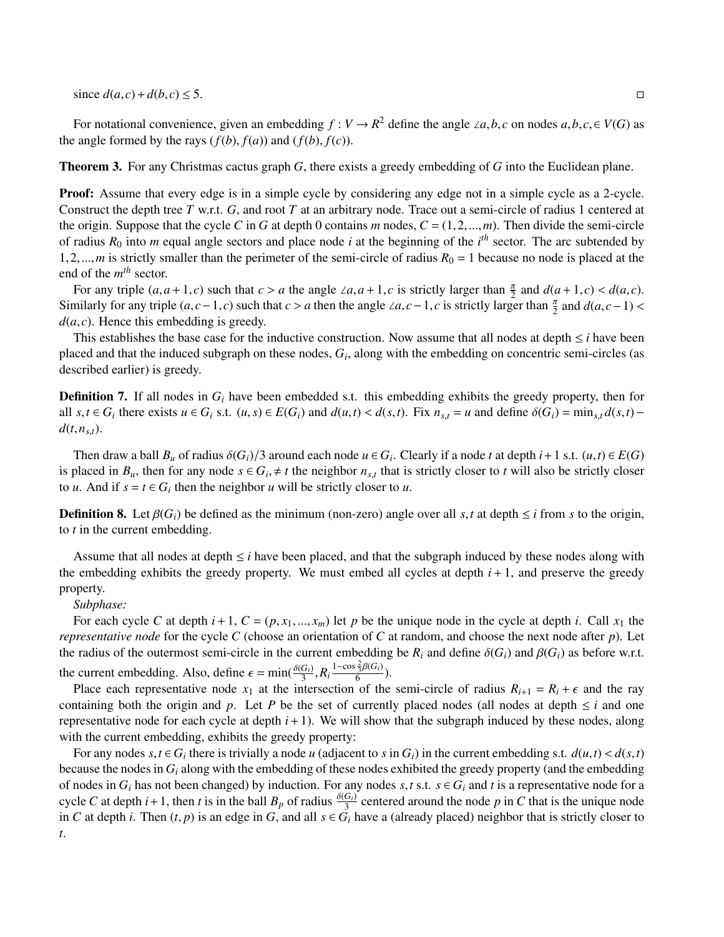since  $d(a, c) + d(b, c) \le 5$ . □

For notational convenience, given an embedding *f* : *V* → *R*<sup>2</sup> define the angle ∠*a*,*b*, *c* on nodes *a*,*b*, *c*, ∈ *V*(*G*) as the angle formed by the rays  $(f(b), f(a))$  and  $(f(b), f(c))$ .

Theorem 3. For any Christmas cactus graph *G*, there exists a greedy embedding of *G* into the Euclidean plane.

**Proof:** Assume that every edge is in a simple cycle by considering any edge not in a simple cycle as a 2-cycle. Construct the depth tree *T* w.r.t. *G*, and root *T* at an arbitrary node. Trace out a semi-circle of radius 1 centered at the origin. Suppose that the cycle C in G at depth 0 contains  $m$  nodes,  $C = (1, 2, ..., m)$ . Then divide the semi-circle of radius  $R_0$  into *m* equal angle sectors and place node *i* at the beginning of the *i*<sup>th</sup> sector. The arc subtended by 1,2,...,*m* is strictly smaller than the perimeter of the semi-circle of radius  $R_0 = 1$  because no node is placed at the end of the *m th* sector.

For any triple  $(a, a+1, c)$  such that  $c > a$  the angle ∠*a*, $a+1, c$  is strictly larger than  $\frac{\pi}{2}$  and  $d(a+1, c) < d(a, c)$ . Similarly for any triple  $(a, c-1, c)$  such that  $c > a$  then the angle ∠*a*,  $c-1$ ,  $c$  is strictly larger than  $\frac{\pi}{2}$  and  $d(a, c-1) < d(a, c)$ . Hence this embedding is greedy  $d(a, c)$ . Hence this embedding is greedy.

This establishes the base case for the inductive construction. Now assume that all nodes at depth  $\leq i$  have been placed and that the induced subgraph on these nodes, *G<sup>i</sup>* , along with the embedding on concentric semi-circles (as described earlier) is greedy.

**Definition 7.** If all nodes in  $G_i$  have been embedded s.t. this embedding exhibits the greedy property, then for all  $s, t \in G_i$  there exists  $u \in G_i$  s.t.  $(u, s) \in E(G_i)$  and  $d(u, t) < d(s, t)$ . Fix  $n_{s,t} = u$  and define  $\delta(G_i) = \min_{s,t} d(s, t) - d(t, n)$  $d(t, n_{s,t})$ .

Then draw a ball  $B_u$  of radius  $\delta(G_i)/3$  around each node  $u \in G_i$ . Clearly if a node *t* at depth  $i+1$  s.t.  $(u,t) \in E(G)$ <br>placed in *B* then for any node  $s \in G$ ,  $\neq t$  the neighbor *n* that is strictly closer to *t* will a is placed in  $B_u$ , then for any node  $s \in G_i$ ,  $\neq t$  the neighbor  $n_{s,t}$  that is strictly closer to *t* will also be strictly closer to *u*, And if  $s = t \in G$ , then the neighbor *u* will be strictly closer to *u* to *u*. And if  $s = t \in G_i$  then the neighbor *u* will be strictly closer to *u*.

**Definition 8.** Let  $\beta(G_i)$  be defined as the minimum (non-zero) angle over all *s*,*t* at depth  $\leq i$  from *s* to the origin, to *t* in the current embedding.

Assume that all nodes at depth  $\leq i$  have been placed, and that the subgraph induced by these nodes along with the embedding exhibits the greedy property. We must embed all cycles at depth  $i + 1$ , and preserve the greedy property.

#### *Subphase:*

For each cycle *C* at depth  $i + 1$ ,  $C = (p, x_1, ..., x_m)$  let *p* be the unique node in the cycle at depth *i*. Call  $x_1$  the *representative node* for the cycle *C* (choose an orientation of *C* at random, and choose the next node after *p*). Let the radius of the outermost semi-circle in the current embedding be  $R_i$  and define  $\delta(G_i)$  and  $\beta(G_i)$  as before w.r.t. the current embedding. Also, define  $\epsilon = \min(\frac{\delta(G_i)}{3}, R_i \frac{1-\cos\frac{2}{3}\beta(G_i)}{6})$ .<br>Place each representative node  $x_i$  at the intersection of the

Place each representative node  $x_1$  at the intersection of the semi-circle of radius  $R_{i+1} = R_i + \epsilon$  and the ray containing both the origin and *p*. Let *P* be the set of currently placed nodes (all nodes at depth  $\leq i$  and one representative node for each cycle at depth *i*+1). We will show that the subgraph induced by these nodes, along with the current embedding, exhibits the greedy property:

For any nodes  $s, t \in G_i$  there is trivially a node *u* (adjacent to *s* in  $G_i$ ) in the current embedding s.t.  $d(u, t) < d(s, t)$ <br>cause the nodes in  $G_i$  along with the embedding of these nodes exhibited the greedy property (an because the nodes in *G<sup>i</sup>* along with the embedding of these nodes exhibited the greedy property (and the embedding of nodes in  $G_i$  has not been changed) by induction. For any nodes *s*,*t* s.t.  $s \in G_i$  and *t* is a representative node for a cycle *C* at depth  $i+1$ , then *t* is in the ball  $B_p$  of radius  $\frac{\delta(G_i)}{3}$  centered around the node *p* in *C* that is the unique node in *C* at depth *i*. Then  $(t, p)$  is an edge in *G*, and all  $s \in G_i$  have a (already placed) neighbor that is strictly closer to *t*.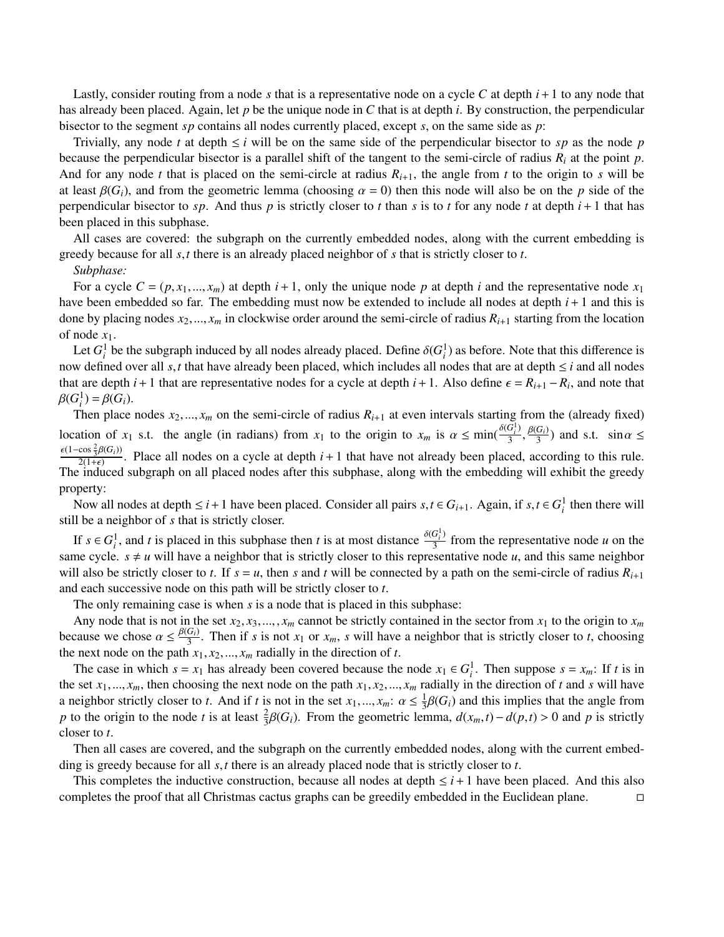Lastly, consider routing from a node *s* that is a representative node on a cycle *C* at depth *i*+1 to any node that has already been placed. Again, let *p* be the unique node in *C* that is at depth *i*. By construction, the perpendicular bisector to the segment *sp* contains all nodes currently placed, except *s*, on the same side as *p*:

Trivially, any node *t* at depth  $\leq i$  will be on the same side of the perpendicular bisector to *sp* as the node *p* because the perpendicular bisector is a parallel shift of the tangent to the semi-circle of radius  $R_i$  at the point  $p$ . And for any node *t* that is placed on the semi-circle at radius  $R_{i+1}$ , the angle from *t* to the origin to *s* will be at least  $\beta(G_i)$ , and from the geometric lemma (choosing  $\alpha = 0$ ) then this node will also be on the *p* side of the perpendicular bisector to *sp*. And thus *p* is strictly closer to *t* than *s* is to *t* for any node *t* at depth  $i + 1$  that has been placed in this subphase.

All cases are covered: the subgraph on the currently embedded nodes, along with the current embedding is greedy because for all *<sup>s</sup>*,*<sup>t</sup>* there is an already placed neighbor of *<sup>s</sup>* that is strictly closer to *<sup>t</sup>*.

## *Subphase:*

For a cycle  $C = (p, x_1, ..., x_m)$  at depth  $i + 1$ , only the unique node p at depth i and the representative node  $x_1$ have been embedded so far. The embedding must now be extended to include all nodes at depth *i*+1 and this is done by placing nodes  $x_2, ..., x_m$  in clockwise order around the semi-circle of radius  $R_{i+1}$  starting from the location of node  $x_1$ .

Let  $G_i^1$  be the subgraph induced by all nodes already placed. Define  $\delta(G_i^1)$  as before. Note that this difference is<br>a defined over all set that have already been placed, which includes all nodes that are at denth  $\le$ now defined over all  $s$ , *t* that have already been placed, which includes all nodes that are at depth  $\leq i$  and all nodes that are depth *i* + 1 that are representative nodes for a cycle at depth *i* + 1. Also define  $\epsilon = R_{i+1} - R_i$ , and note that  $R(G^1) - R(G^2)$  $\beta(G_i^1) = \beta(G_i).$ <br>Then place

Then place nodes  $x_2, ..., x_m$  on the semi-circle of radius  $R_{i+1}$  at even intervals starting from the (already fixed) location of *x*<sub>1</sub> s.t. the angle (in radians) from *x*<sub>1</sub> to the origin to  $x_m$  is  $\alpha \le \min(\frac{\delta(G_i^1)}{3})$  $\frac{G_i^1}{3}, \frac{\beta(G_i)}{3}$  and s.t.  $\sin \alpha \leq$  $\frac{\epsilon(1-\cos{\frac{2}{3}\beta(G_i)})}{2(1-\cos{\frac{2}{3}\beta(G_i)})}$ . Place all nodes on a cycle at depth  $i+1$  that have not already been placed,  $\frac{2(1+\epsilon)}{2(1+\epsilon)}$ . Place all nodes on a cycle at depth  $i+1$  that have not already been placed, according to this rule.<br>induced subgraph on all placed nodes after this subphase, along with the embedding will exhibit the The induced subgraph on all placed nodes after this subphase, along with the embedding will exhibit the greedy property:

Now all nodes at depth  $\leq i+1$  have been placed. Consider all pairs  $s, t \in G_{i+1}$ . Again, if  $s, t \in G_i^1$  then there will the a neighbor of  $s$  that is strictly closer. still be a neighbor of *s* that is strictly closer.

If  $s \in G_i^1$ , and *t* is placed in this subphase then *t* is at most distance  $\frac{\delta(G_i^1)}{3}$  $\frac{3}{3}$  from the representative node *u* on the same cycle.  $s \neq u$  will have a neighbor that is strictly closer to this representative node *u*, and this same neighbor will also be strictly closer to *t*. If  $s = u$ , then *s* and *t* will be connected by a path on the semi-circle of radius  $R_{i+1}$ and each successive node on this path will be strictly closer to *t*.

The only remaining case is when *s* is a node that is placed in this subphase:

Any node that is not in the set  $x_2, x_3, \ldots, x_m$  cannot be strictly contained in the sector from  $x_1$  to the origin to  $x_m$ because we chose  $\alpha \le \frac{\beta(G_i)}{3}$ . Then if *s* is not  $x_1$  or  $x_m$ , *s* will have a neighbor that is strictly closer to *t*, choosing the next node on the path  $x_i$ ,  $x_j$ ,  $x_j$ , radially in the direction of *t*. the next node on the path  $x_1, x_2, \ldots, x_m$  radially in the direction of *t*.

The case in which  $s = x_1$  has already been covered because the node  $x_1 \in G_i^1$ . Then suppose  $s = x_m$ : If *t* is in the set  $x_1, ..., x_m$ , then choosing the next node on the path  $x_1, x_2, ..., x_m$  radially in the direction of *t* and *s* will have a neighbor strictly closer to *t*. And if *t* is not in the set  $x_1, ..., x_m$ :  $\alpha \le \frac{1}{3}$ <br>n to the origin to the node *t* is at least  $\frac{2}{3}R(G_1)$ . From the geometric leg  $\frac{1}{3}\beta(G_i)$  and this implies that the angle from<br>mma<sub>nd</sub>(x, t) – d(n,t) > 0 and n is strictly *p* to the origin to the node *t* is at least  $\frac{2}{3}\beta(G_i)$ . From the geometric lemma,  $d(x_m, t) - d(p, t) > 0$  and *p* is strictly closer to *t* closer to *t*.

Then all cases are covered, and the subgraph on the currently embedded nodes, along with the current embedding is greedy because for all *<sup>s</sup>*,*<sup>t</sup>* there is an already placed node that is strictly closer to *<sup>t</sup>*.

This completes the inductive construction, because all nodes at depth  $\leq i+1$  have been placed. And this also completes the proof that all Christmas cactus graphs can be greedily embedded in the Euclidean plane.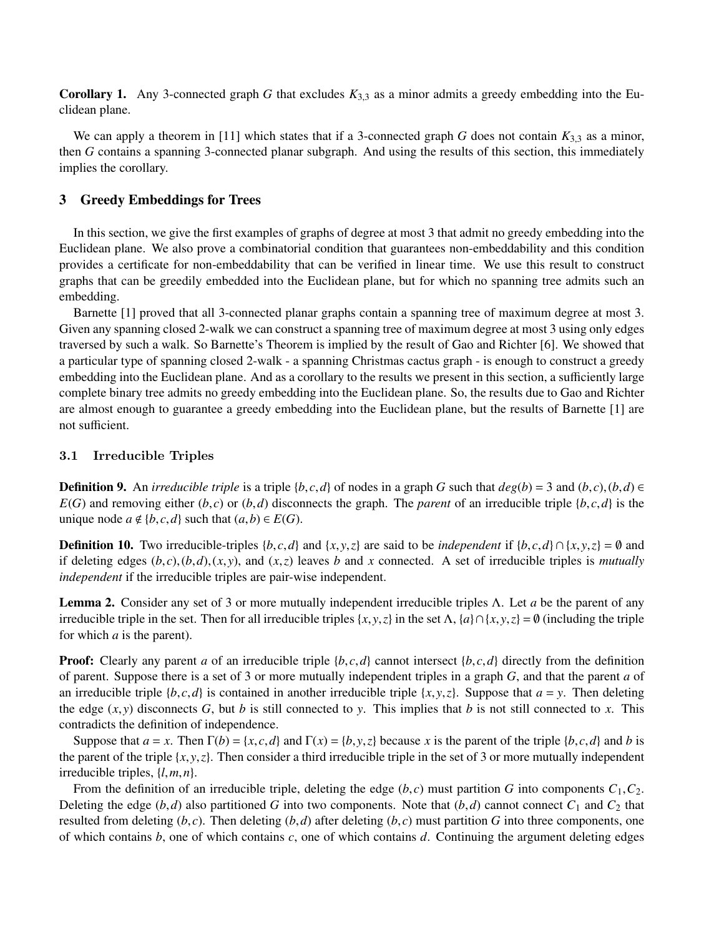**Corollary 1.** Any 3-connected graph *G* that excludes  $K_{3,3}$  as a minor admits a greedy embedding into the Euclidean plane.

We can apply a theorem in [11] which states that if a 3-connected graph *G* does not contain  $K_{3,3}$  as a minor, then *G* contains a spanning 3-connected planar subgraph. And using the results of this section, this immediately implies the corollary.

## 3 Greedy Embeddings for Trees

In this section, we give the first examples of graphs of degree at most 3 that admit no greedy embedding into the Euclidean plane. We also prove a combinatorial condition that guarantees non-embeddability and this condition provides a certificate for non-embeddability that can be verified in linear time. We use this result to construct graphs that can be greedily embedded into the Euclidean plane, but for which no spanning tree admits such an embedding.

Barnette [1] proved that all 3-connected planar graphs contain a spanning tree of maximum degree at most 3. Given any spanning closed 2-walk we can construct a spanning tree of maximum degree at most 3 using only edges traversed by such a walk. So Barnette's Theorem is implied by the result of Gao and Richter [6]. We showed that a particular type of spanning closed 2-walk - a spanning Christmas cactus graph - is enough to construct a greedy embedding into the Euclidean plane. And as a corollary to the results we present in this section, a sufficiently large complete binary tree admits no greedy embedding into the Euclidean plane. So, the results due to Gao and Richter are almost enough to guarantee a greedy embedding into the Euclidean plane, but the results of Barnette [1] are not sufficient.

## 3.1 Irreducible Triples

**Definition 9.** An *irreducible triple* is a triple  $\{b, c, d\}$  of nodes in a graph *G* such that  $deg(b) = 3$  and  $(b, c), (b, d) \in$  $E(G)$  and removing either  $(b, c)$  or  $(b, d)$  disconnects the graph. The *parent* of an irreducible triple  $\{b, c, d\}$  is the unique node  $a \notin \{b, c, d\}$  such that  $(a, b) \in E(G)$ .

**Definition 10.** Two irreducible-triples {*b*, *c*,*d*} and {*x*, *y*,*z*} are said to be *independent* if {*b*, *c*,*d*} ∩ {*x*, *y*,*z*} = ∅ and if deleting edges  $(b, c), (b, d), (x, y)$ , and  $(x, z)$  leaves *b* and *x* connected. A set of irreducible triples is *mutually independent* if the irreducible triples are pair-wise independent.

Lemma 2. Consider any set of 3 or more mutually independent irreducible triples Λ. Let *a* be the parent of any irreducible triple in the set. Then for all irreducible triples  $\{x, y, z\}$  in the set  $\Lambda$ ,  $\{a\} \cap \{x, y, z\} = \emptyset$  (including the triple for which *a* is the parent).

**Proof:** Clearly any parent *a* of an irreducible triple  $\{b, c, d\}$  cannot intersect  $\{b, c, d\}$  directly from the definition of parent. Suppose there is a set of 3 or more mutually independent triples in a graph *G*, and that the parent *a* of an irreducible triple  ${b, c, d}$  is contained in another irreducible triple  ${x, y, z}$ . Suppose that  $a = y$ . Then deleting the edge  $(x, y)$  disconnects *G*, but *b* is still connected to *y*. This implies that *b* is not still connected to *x*. This contradicts the definition of independence.

Suppose that  $a = x$ . Then  $\Gamma(b) = \{x, c, d\}$  and  $\Gamma(x) = \{b, y, z\}$  because *x* is the parent of the triple  $\{b, c, d\}$  and *b* is the parent of the triple  $\{x, y, z\}$ . Then consider a third irreducible triple in the set of 3 or more mutually independent irreducible triples, {*l*,*m*,*n*}.

From the definition of an irreducible triple, deleting the edge  $(b, c)$  must partition *G* into components  $C_1, C_2$ . Deleting the edge  $(b,d)$  also partitioned *G* into two components. Note that  $(b,d)$  cannot connect  $C_1$  and  $C_2$  that resulted from deleting  $(b, c)$ . Then deleting  $(b, d)$  after deleting  $(b, c)$  must partition *G* into three components, one of which contains *b*, one of which contains *c*, one of which contains *d*. Continuing the argument deleting edges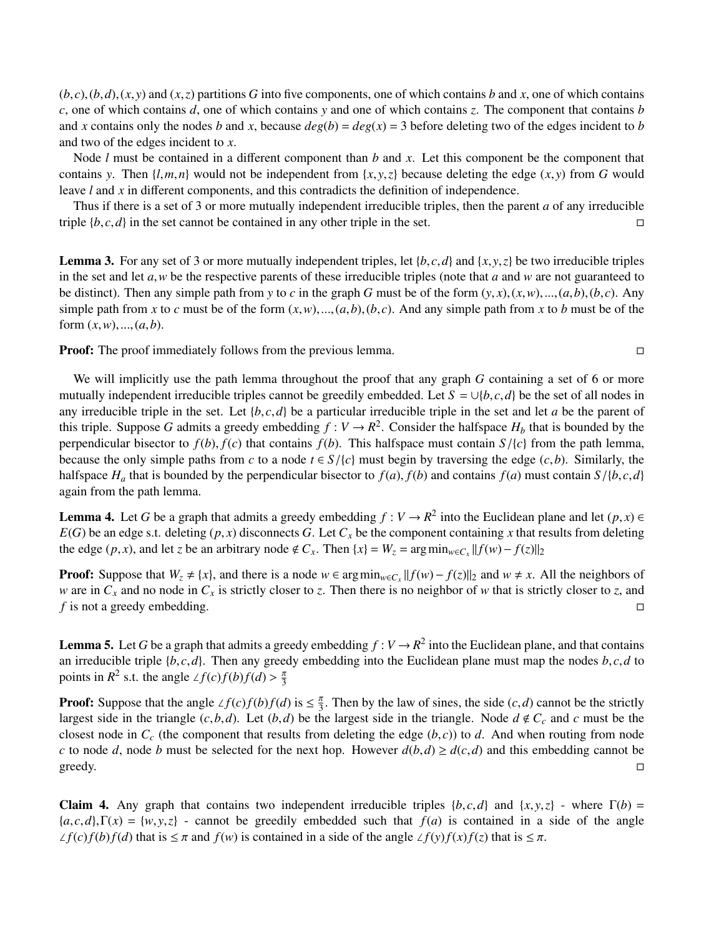$(b, c), (b, d), (x, y)$  and  $(x, z)$  partitions *G* into five components, one of which contains *b* and *x*, one of which contains *c*, one of which contains *d*, one of which contains *y* and one of which contains *z*. The component that contains *b* and *x* contains only the nodes *b* and *x*, because  $deg(b) = deg(x) = 3$  before deleting two of the edges incident to *b* and two of the edges incident to *x*.

Node *l* must be contained in a different component than *b* and *x*. Let this component be the component that contains *y*. Then  $\{l, m, n\}$  would not be independent from  $\{x, y, z\}$  because deleting the edge  $(x, y)$  from *G* would leave *l* and *x* in different components, and this contradicts the definition of independence.

Thus if there is a set of 3 or more mutually independent irreducible triples, then the parent *a* of any irreducible triple  $\{b, c, d\}$  in the set cannot be contained in any other triple in the set.

**Lemma 3.** For any set of 3 or more mutually independent triples, let  $\{b, c, d\}$  and  $\{x, y, z\}$  be two irreducible triples in the set and let *<sup>a</sup>*,*<sup>w</sup>* be the respective parents of these irreducible triples (note that *<sup>a</sup>* and *<sup>w</sup>* are not guaranteed to be distinct). Then any simple path from *y* to *c* in the graph *G* must be of the form  $(y, x), (x, w), ..., (a, b), (b, c)$ . Any simple path from *x* to *c* must be of the form  $(x, w)$ ,..., $(a, b)$ , $(b, c)$ . And any simple path from *x* to *b* must be of the form  $(x, w)$ , ...,  $(a, b)$ .

Proof: The proof immediately follows from the previous lemma.

We will implicitly use the path lemma throughout the proof that any graph *G* containing a set of 6 or more mutually independent irreducible triples cannot be greedily embedded. Let  $S = \bigcup \{b, c, d\}$  be the set of all nodes in any irreducible triple in the set. Let  $\{b, c, d\}$  be a particular irreducible triple in the set and let *a* be the parent of this triple. Suppose *G* admits a greedy embedding  $f: V \to R^2$ . Consider the halfspace  $H_b$  that is bounded by the perpendicular bisector to  $f(b)$ ,  $f(c)$  that contains  $f(b)$ . This halfspace must contain  $S/\{c\}$  from the path lemma, because the only simple paths from *c* to a node  $t \in S/\{c\}$  must begin by traversing the edge (*c*,*b*). Similarly, the halfspace  $H_a$  that is bounded by the perpendicular bisector to  $f(a)$ ,  $f(b)$  and contains  $f(a)$  must contain  $S/\{b, c, d\}$ again from the path lemma.

**Lemma 4.** Let *G* be a graph that admits a greedy embedding  $f: V \to R^2$  into the Euclidean plane and let  $(p, x) \in$   $F(G)$  be an edge s.t. deleting  $(p, x)$  disconnects  $G$ . Let  $G$  be the component containing x that results f  $E(G)$  be an edge s.t. deleting  $(p, x)$  disconnects *G*. Let  $C_x$  be the component containing *x* that results from deleting the edge  $(p, x)$ , and let *z* be an arbitrary node  $\notin C_x$ . Then  $\{x\} = W_z = \arg \min_{w \in C_x} ||f(w) - f(z)||_2$ 

**Proof:** Suppose that  $W_z \neq \{x\}$ , and there is a node  $w \in \arg \min_{w \in C_x} ||f(w) - f(z)||_2$  and  $w \neq x$ . All the neighbors of *w* are in  $C_x$  and no node in  $C_x$  is strictly closer to *z*. Then there is no neighbor of *w* that is strictly closer to *z*, and *f* is not a greedy embedding. □

**Lemma 5.** Let *G* be a graph that admits a greedy embedding  $f: V \to R^2$  into the Euclidean plane, and that contains an irreducible triple  $\{b, c, d\}$ . Then any greedy embedding into the Euclidean plane must map the nodes  $b, c, d$  to points in  $R^2$  s.t. the angle  $\angle f(c)f(b)f(d) > \frac{\pi}{3}$ 

**Proof:** Suppose that the angle ∠ $f(c)f(b)f(d)$  is  $\leq \frac{\pi}{3}$ . Then by the law of sines, the side  $(c,d)$  cannot be the strictly largest side in the triangle of  $d \neq C$  and  $c$  must be the largest side in the triangle  $(c, b, d)$ . Let  $(b, d)$  be the largest side in the triangle. Node  $d \notin C_c$  and  $c$  must be the closest node in  $C_c$  (the component that results from deleting the edge  $(b, c)$ ) to *d*. And when routing from node *c* to node *d*, node *b* must be selected for the next hop. However  $d(b,d) \geq d(c,d)$  and this embedding cannot be greedy.  $\Box$  greedy.  $\Box$ 

Claim 4. Any graph that contains two independent irreducible triples  $\{b, c, d\}$  and  $\{x, y, z\}$  - where  $\Gamma(b)$  =  ${a, c, d}$ ,  $\Gamma(x) = {w, y, z}$  - cannot be greedily embedded such that  $f(a)$  is contained in a side of the angle  $\angle f(c)f(b)f(d)$  that is  $\leq \pi$  and  $f(w)$  is contained in a side of the angle  $\angle f(y)f(x)f(z)$  that is  $\leq \pi$ .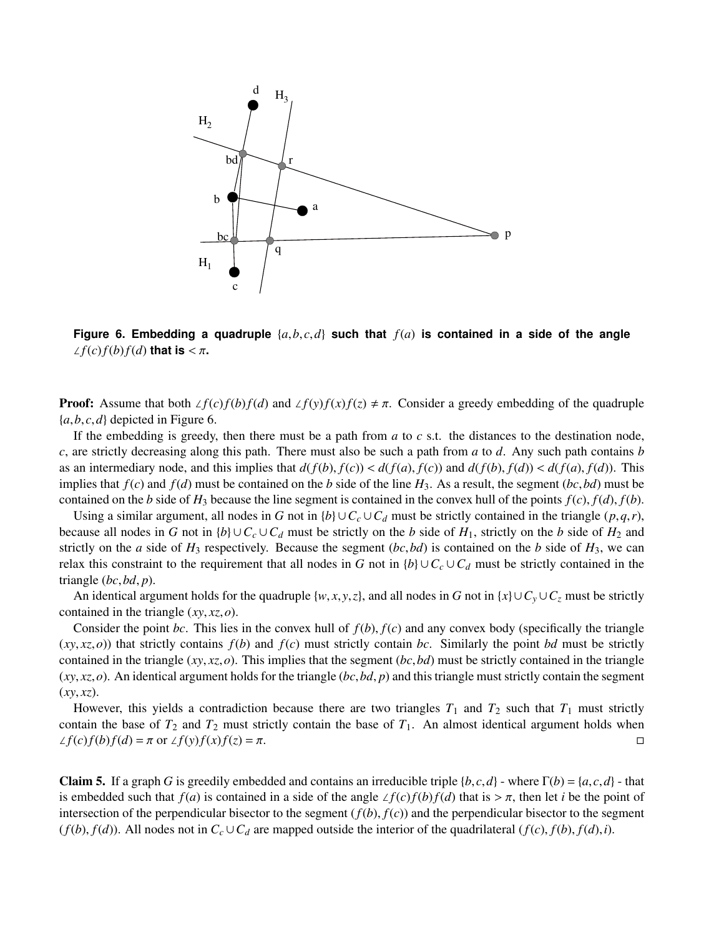

Figure 6. Embedding a quadruple  $\{a, b, c, d\}$  such that  $f(a)$  is contained in a side of the angle  $\angle f(c)f(b)f(d)$  that is  $\lt \pi$ .

**Proof:** Assume that both  $\angle f(c)f(b)f(d)$  and  $\angle f(y)f(x)f(z) \neq \pi$ . Consider a greedy embedding of the quadruple  ${a,b,c,d}$  depicted in Figure 6.

If the embedding is greedy, then there must be a path from *a* to *c* s.t. the distances to the destination node, *c*, are strictly decreasing along this path. There must also be such a path from *a* to *d*. Any such path contains *b* as an intermediary node, and this implies that  $d(f(b), f(c)) < d(f(a), f(c))$  and  $d(f(b), f(d)) < d(f(a), f(d))$ . This implies that  $f(c)$  and  $f(d)$  must be contained on the *b* side of the line  $H_3$ . As a result, the segment (*bc*,*bd*) must be contained on the *b* side of  $H_3$  because the line segment is contained in the convex hull of the points  $f(c)$ ,  $f(d)$ ,  $f(b)$ .

Using a similar argument, all nodes in *G* not in  ${b} \cup C_c \cup C_d$  must be strictly contained in the triangle  $(p,q,r)$ , because all nodes in *G* not in  $\{b\} \cup C_c \cup C_d$  must be strictly on the *b* side of  $H_1$ , strictly on the *b* side of  $H_2$  and strictly on the *a* side of  $H_3$  respectively. Because the segment  $(bc, bd)$  is contained on the *b* side of  $H_3$ , we can relax this constraint to the requirement that all nodes in *G* not in  $\{b\} \cup C_c \cup C_d$  must be strictly contained in the triangle (*bc*,*bd*, *<sup>p</sup>*).

An identical argument holds for the quadruple  $\{w, x, y, z\}$ , and all nodes in *G* not in  $\{x\} \cup C_y \cup C_z$  must be strictly contained in the triangle (*xy*, *xz*,*o*).

Consider the point *bc*. This lies in the convex hull of  $f(b)$ ,  $f(c)$  and any convex body (specifically the triangle  $(x, x, z, o)$ ) that strictly contains  $f(b)$  and  $f(c)$  must strictly contain *bc*. Similarly the point *bd* must be strictly contained in the triangle (*xy*, *xz*,*o*). This implies that the segment (*bc*,*bd*) must be strictly contained in the triangle (*xy*, *xz*,*o*). An identical argument holds for the triangle (*bc*,*bd*, *<sup>p</sup>*) and this triangle must strictly contain the segment  $(xy, xz)$ .

However, this yields a contradiction because there are two triangles  $T_1$  and  $T_2$  such that  $T_1$  must strictly contain the base of  $T_2$  and  $T_2$  must strictly contain the base of  $T_1$ . An almost identical argument holds when  $\angle f(c)f(b)f(d) = \pi$  or  $\angle f(y)f(x)f(z) = \pi$ .

Claim 5. If a graph *G* is greedily embedded and contains an irreducible triple  $\{b, c, d\}$  - where  $\Gamma(b) = \{a, c, d\}$  - that is embedded such that  $f(a)$  is contained in a side of the angle  $\angle f(c)f(b)f(d)$  that is  $>\pi$ , then let *i* be the point of intersection of the perpendicular bisector to the segment  $(f(b), f(c))$  and the perpendicular bisector to the segment  $(f(b), f(d))$ . All nodes not in  $C_c \cup C_d$  are mapped outside the interior of the quadrilateral  $(f(c), f(b), f(d), i)$ .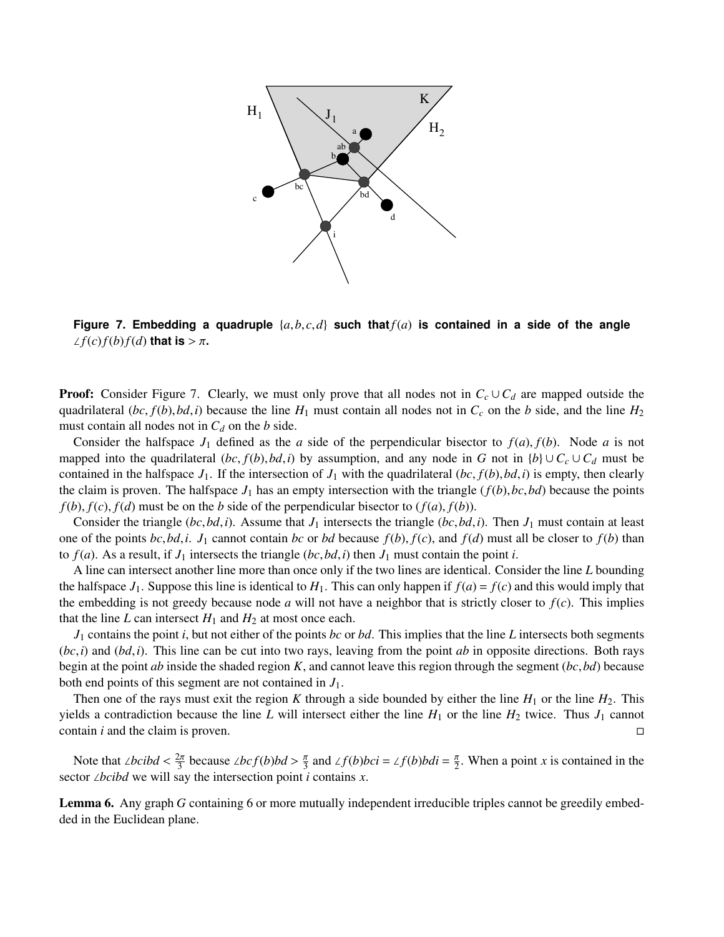

**Figure 7. Embedding a quadruple**  $\{a,b,c,d\}$  such that  $f(a)$  is contained in a side of the angle  $\angle f(c)f(b)f(d)$  that is >  $\pi$ .

**Proof:** Consider Figure 7. Clearly, we must only prove that all nodes not in  $C_c \cup C_d$  are mapped outside the quadrilateral  $(bc, f(b), bd, i)$  because the line  $H_1$  must contain all nodes not in  $C_c$  on the *b* side, and the line  $H_2$ must contain all nodes not in  $C_d$  on the *b* side.

Consider the halfspace  $J_1$  defined as the *a* side of the perpendicular bisector to  $f(a)$ ,  $f(b)$ . Node *a* is not mapped into the quadrilateral  $(bc, f(b), bd, i)$  by assumption, and any node in *G* not in  ${b} \cup C_c \cup C_d$  must be contained in the halfspace  $J_1$ . If the intersection of  $J_1$  with the quadrilateral  $(bc, f(b), bd, i)$  is empty, then clearly the claim is proven. The halfspace  $J_1$  has an empty intersection with the triangle  $(f(b), bc, bd)$  because the points  $f(b)$ ,  $f(c)$ ,  $f(d)$  must be on the *b* side of the perpendicular bisector to  $(f(a), f(b))$ .

Consider the triangle  $(bc, bd, i)$ . Assume that  $J_1$  intersects the triangle  $(bc, bd, i)$ . Then  $J_1$  must contain at least one of the points *bc*,*bd*,*i*. *J*<sub>1</sub> cannot contain *bc* or *bd* because  $f(b)$ ,  $f(c)$ , and  $f(d)$  must all be closer to  $f(b)$  than to  $f(a)$ . As a result, if  $J_1$  intersects the triangle  $(bc, bd, i)$  then  $J_1$  must contain the point *i*.

A line can intersect another line more than once only if the two lines are identical. Consider the line *L* bounding the halfspace  $J_1$ . Suppose this line is identical to  $H_1$ . This can only happen if  $f(a) = f(c)$  and this would imply that the embedding is not greedy because node *a* will not have a neighbor that is strictly closer to  $f(c)$ . This implies that the line *L* can intersect  $H_1$  and  $H_2$  at most once each.

*J*<sup>1</sup> contains the point *i*, but not either of the points *bc* or *bd*. This implies that the line *L* intersects both segments  $(bc, i)$  and  $(bd, i)$ . This line can be cut into two rays, leaving from the point *ab* in opposite directions. Both rays begin at the point *ab* inside the shaded region *<sup>K</sup>*, and cannot leave this region through the segment (*bc*,*bd*) because both end points of this segment are not contained in *J*1.

Then one of the rays must exit the region *K* through a side bounded by either the line  $H_1$  or the line  $H_2$ . This yields a contradiction because the line *L* will intersect either the line  $H_1$  or the line  $H_2$  twice. Thus  $J_1$  cannot contain *i* and the claim is proven.

Note that ∠*bcibd* <  $\frac{2\pi}{3}$  because ∠*bcf*(*b*)*bd* >  $\frac{\pi}{3}$  and ∠*f*(*b*)*bci* = ∠*f*(*b*)*bdi* =  $\frac{\pi}{2}$ . When a point *x* is contained in the stor ∠*hcibd* we will say the intersection point *i* contains *x* sector ∠*bcibd* we will say the intersection point *i* contains *x*.

Lemma 6. Any graph *G* containing 6 or more mutually independent irreducible triples cannot be greedily embedded in the Euclidean plane.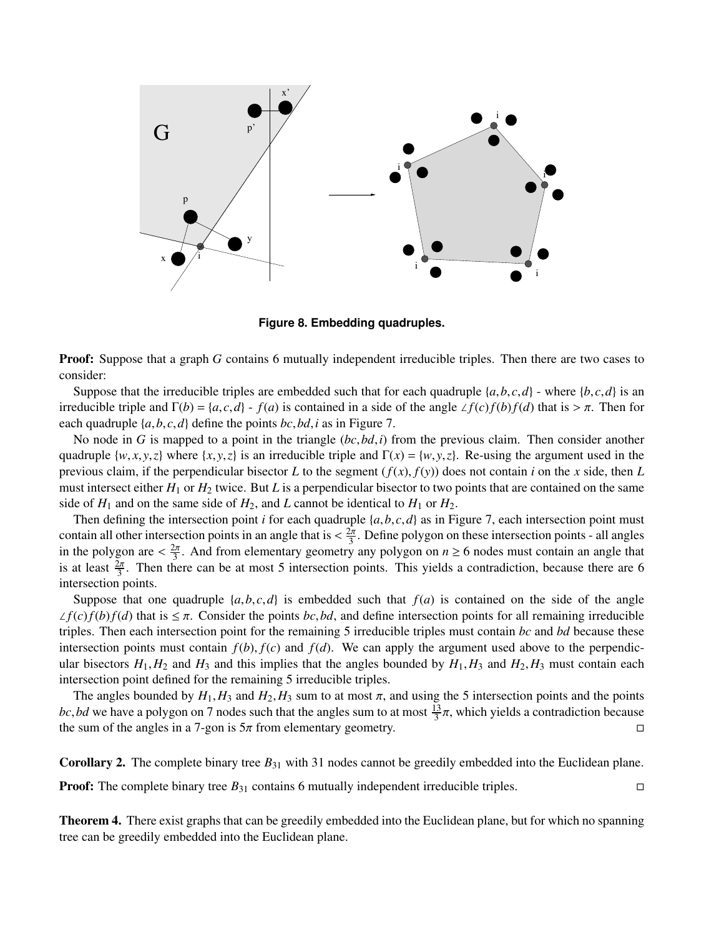

**Figure 8. Embedding quadruples.**

**Proof:** Suppose that a graph *G* contains 6 mutually independent irreducible triples. Then there are two cases to consider:

Suppose that the irreducible triples are embedded such that for each quadruple  $\{a, b, c, d\}$  - where  $\{b, c, d\}$  is an irreducible triple and  $\Gamma(b) = {a, c, d} - f(a)$  is contained in a side of the angle ∠ $f(c)f(b)f(d)$  that is > π. Then for each quadruple {*a*,*b*, *<sup>c</sup>*,*d*} define the points *bc*,*bd*,*<sup>i</sup>* as in Figure 7.

No node in *<sup>G</sup>* is mapped to a point in the triangle (*bc*,*bd*,*i*) from the previous claim. Then consider another quadruple  $\{w, x, y, z\}$  where  $\{x, y, z\}$  is an irreducible triple and  $\Gamma(x) = \{w, y, z\}$ . Re-using the argument used in the previous claim, if the perpendicular bisector *L* to the segment  $(f(x), f(y))$  does not contain *i* on the *x* side, then *L* must intersect either *H*<sup>1</sup> or *H*<sup>2</sup> twice. But *L* is a perpendicular bisector to two points that are contained on the same side of  $H_1$  and on the same side of  $H_2$ , and *L* cannot be identical to  $H_1$  or  $H_2$ .

Then defining the intersection point *<sup>i</sup>* for each quadruple {*a*,*b*, *<sup>c</sup>*,*d*} as in Figure 7, each intersection point must contain all other intersection points in an angle that is  $\langle \frac{2\pi}{3} \rangle$ . Define polygon on these intersection points - all angles<br>in the polygon are  $\langle \frac{2\pi}{3} \rangle$ . And from elementary geometry any polygon on  $n > 6$  po in the polygon are  $\langle \frac{2\pi}{3} \rangle$ . And from elementary geometry any polygon on  $n \ge 6$  nodes must contain an angle that is at least  $\frac{2\pi}{3}$ . Then there can be at most 5 intersection points. This vields a contradictio is at least  $\frac{2\pi}{3}$ . Then there can be at most 5 intersection points. This yields a contradiction, because there are 6 intersection points.

Suppose that one quadruple  $\{a, b, c, d\}$  is embedded such that  $f(a)$  is contained on the side of the angle  $\angle f(c)f(b)f(d)$  that is  $\leq \pi$ . Consider the points *bc*,*bd*, and define intersection points for all remaining irreducible triples. Then each intersection point for the remaining 5 irreducible triples must contain *bc* and *bd* because these intersection points must contain  $f(b)$ ,  $f(c)$  and  $f(d)$ . We can apply the argument used above to the perpendicular bisectors  $H_1$ ,  $H_2$  and  $H_3$  and this implies that the angles bounded by  $H_1$ ,  $H_3$  and  $H_2$ ,  $H_3$  must contain each intersection point defined for the remaining 5 irreducible triples.

The angles bounded by  $H_1, H_3$  and  $H_2, H_3$  sum to at most  $\pi$ , and using the 5 intersection points and the points *bc*,*bd* we have a polygon on 7 nodes such that the angles sum to at most  $\frac{13}{3}\pi$ , which yields a contradiction because the sum of the angles in a 7-gon is  $5\pi$  from elementary geometry.

Corollary 2. The complete binary tree  $B_{31}$  with 31 nodes cannot be greedily embedded into the Euclidean plane.

**Proof:** The complete binary tree  $B_{31}$  contains 6 mutually independent irreducible triples.

Theorem 4. There exist graphs that can be greedily embedded into the Euclidean plane, but for which no spanning tree can be greedily embedded into the Euclidean plane.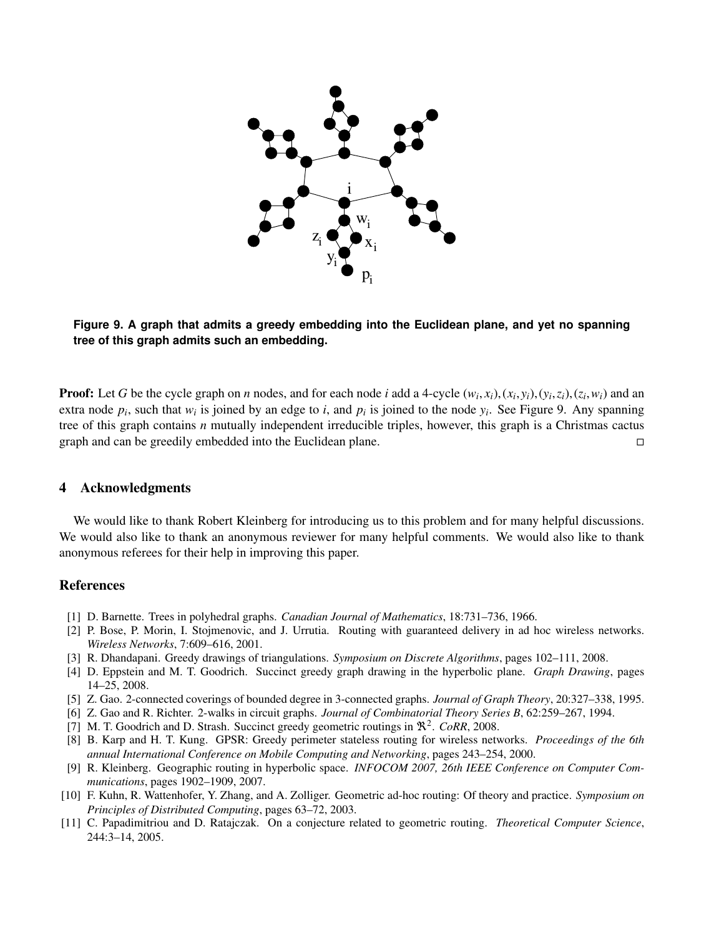

# **Figure 9. A graph that admits a greedy embedding into the Euclidean plane, and yet no spanning tree of this graph admits such an embedding.**

**Proof:** Let G be the cycle graph on *n* nodes, and for each node *i* add a 4-cycle  $(w_i, x_i)$ ,  $(x_i, y_i)$ ,  $(y_i, z_i)$ ,  $(z_i, w_i)$  and an extra node *n*, such that w, is joined by an edge to *i* and *n*, is joined to the node *y* extra node  $p_i$ , such that  $w_i$  is joined by an edge to *i*, and  $p_i$  is joined to the node  $y_i$ . See Figure 9. Any spanning tree of this graph contains *n* mutually independent irreducible triples, however, this graph is a Christmas cactus graph and can be greedily embedded into the Euclidean plane.

## 4 Acknowledgments

We would like to thank Robert Kleinberg for introducing us to this problem and for many helpful discussions. We would also like to thank an anonymous reviewer for many helpful comments. We would also like to thank anonymous referees for their help in improving this paper.

## References

- [1] D. Barnette. Trees in polyhedral graphs. *Canadian Journal of Mathematics*, 18:731–736, 1966.
- [2] P. Bose, P. Morin, I. Stojmenovic, and J. Urrutia. Routing with guaranteed delivery in ad hoc wireless networks. *Wireless Networks*, 7:609–616, 2001.
- [3] R. Dhandapani. Greedy drawings of triangulations. *Symposium on Discrete Algorithms*, pages 102–111, 2008.
- [4] D. Eppstein and M. T. Goodrich. Succinct greedy graph drawing in the hyperbolic plane. *Graph Drawing*, pages 14–25, 2008.
- [5] Z. Gao. 2-connected coverings of bounded degree in 3-connected graphs. *Journal of Graph Theory*, 20:327–338, 1995.
- [6] Z. Gao and R. Richter. 2-walks in circuit graphs. *Journal of Combinatorial Theory Series B*, 62:259–267, 1994.
- [7] M. T. Goodrich and D. Strash. Succinct greedy geometric routings in  $\mathbb{R}^2$ . *CoRR*, 2008.
- [8] B. Karp and H. T. Kung. GPSR: Greedy perimeter stateless routing for wireless networks. *Proceedings of the 6th annual International Conference on Mobile Computing and Networking*, pages 243–254, 2000.
- [9] R. Kleinberg. Geographic routing in hyperbolic space. *INFOCOM 2007, 26th IEEE Conference on Computer Communications*, pages 1902–1909, 2007.
- [10] F. Kuhn, R. Wattenhofer, Y. Zhang, and A. Zolliger. Geometric ad-hoc routing: Of theory and practice. *Symposium on Principles of Distributed Computing*, pages 63–72, 2003.
- [11] C. Papadimitriou and D. Ratajczak. On a conjecture related to geometric routing. *Theoretical Computer Science*, 244:3–14, 2005.